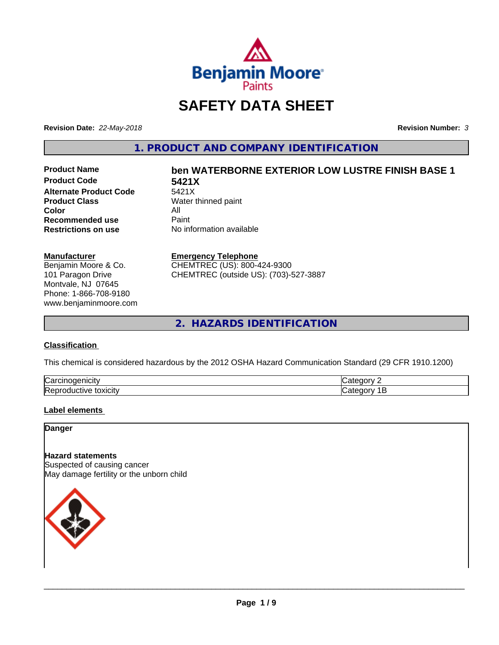

# **SAFETY DATA SHEET**

**Revision Date:** *22-May-2018* **Revision Number:** *3*

**1. PRODUCT AND COMPANY IDENTIFICATION**

**Product Code 5421X Alternate Product Code**<br>Product Class **Color** All<br> **Recommended use** Paint **Recommended use**<br>Restrictions on use

# **Product Name ben WATERBORNE EXTERIOR LOW LUSTRE FINISH BASE 1**

**Water thinned paint Restrictions on use** No information available

#### **Manufacturer**

Benjamin Moore & Co. 101 Paragon Drive Montvale, NJ 07645 Phone: 1-866-708-9180 www.benjaminmoore.com

#### **Emergency Telephone**

CHEMTREC (US): 800-424-9300 CHEMTREC (outside US): (703)-527-3887

**2. HAZARDS IDENTIFICATION**

#### **Classification**

This chemical is considered hazardous by the 2012 OSHA Hazard Communication Standard (29 CFR 1910.1200)

| ∽<br>/Car<br>110       | "<br>$  -$ |
|------------------------|------------|
| lRer<br>.<br>- XICIIV. | $\epsilon$ |

#### **Label elements**

**Danger**

#### **Hazard statements**

Suspected of causing cancer May damage fertility or the unborn child

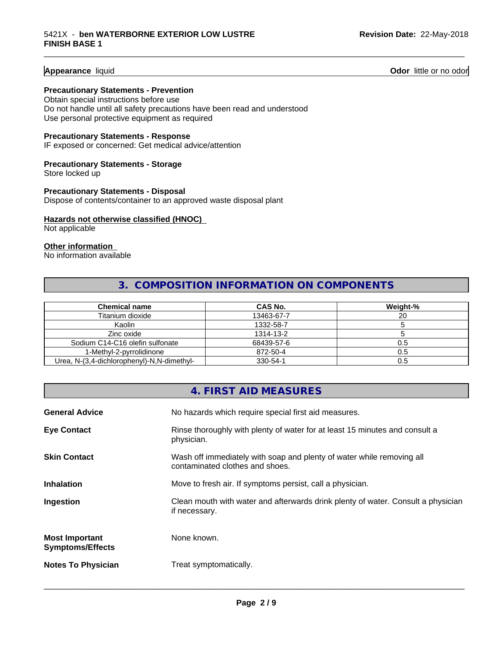**Appearance** liquid **Contract Contract Contract Contract Contract Contract Contract Contract Contract Contract Contract Contract Contract Contract Contract Contract Contract Contract Contract Contract Contract Contract Con** 

#### **Precautionary Statements - Prevention**

Obtain special instructions before use Do not handle until all safety precautions have been read and understood Use personal protective equipment as required

#### **Precautionary Statements - Response**

IF exposed or concerned: Get medical advice/attention

#### **Precautionary Statements - Storage**

Store locked up

**Precautionary Statements - Disposal** Dispose of contents/container to an approved waste disposal plant

#### **Hazards not otherwise classified (HNOC)**

Not applicable

#### **Other information**

No information available

### **3. COMPOSITION INFORMATION ON COMPONENTS**

\_\_\_\_\_\_\_\_\_\_\_\_\_\_\_\_\_\_\_\_\_\_\_\_\_\_\_\_\_\_\_\_\_\_\_\_\_\_\_\_\_\_\_\_\_\_\_\_\_\_\_\_\_\_\_\_\_\_\_\_\_\_\_\_\_\_\_\_\_\_\_\_\_\_\_\_\_\_\_\_\_\_\_\_\_\_\_\_\_\_\_\_\_

| <b>Chemical name</b>                       | CAS No.    | Weight-% |
|--------------------------------------------|------------|----------|
| Titanium dioxide                           | 13463-67-7 | 20       |
| Kaolin                                     | 1332-58-7  |          |
| Zinc oxide                                 | 1314-13-2  |          |
| Sodium C14-C16 olefin sulfonate            | 68439-57-6 | 0.5      |
| 1-Methyl-2-pyrrolidinone                   | 872-50-4   | 0.5      |
| Urea, N-(3,4-dichlorophenyl)-N,N-dimethyl- | 330-54-1   | 0.5      |

## **4. FIRST AID MEASURES General Advice** No hazards which require special first aid measures. **Eye Contact** Rinse thoroughly with plenty of water for at least 15 minutes and consult a physician. **Skin Contact** Wash off immediately with soap and plenty of water while removing all contaminated clothes and shoes. **Inhalation** Move to fresh air. If symptoms persist, call a physician. **Ingestion Example 2** Clean mouth with water and afterwards drink plenty of water. Consult a physician if necessary. **Most Important Symptoms/Effects** None known. **Notes To Physician** Treat symptomatically.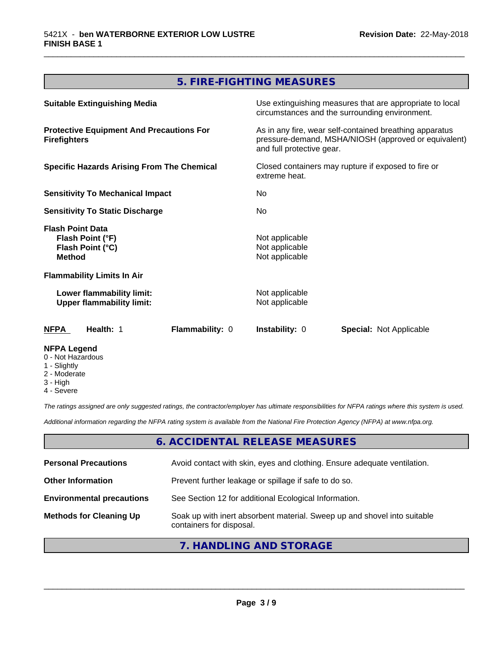### **5. FIRE-FIGHTING MEASURES**

\_\_\_\_\_\_\_\_\_\_\_\_\_\_\_\_\_\_\_\_\_\_\_\_\_\_\_\_\_\_\_\_\_\_\_\_\_\_\_\_\_\_\_\_\_\_\_\_\_\_\_\_\_\_\_\_\_\_\_\_\_\_\_\_\_\_\_\_\_\_\_\_\_\_\_\_\_\_\_\_\_\_\_\_\_\_\_\_\_\_\_\_\_

| <b>Suitable Extinguishing Media</b>                                              | Use extinguishing measures that are appropriate to local<br>circumstances and the surrounding environment.                                   |  |
|----------------------------------------------------------------------------------|----------------------------------------------------------------------------------------------------------------------------------------------|--|
| <b>Protective Equipment And Precautions For</b><br><b>Firefighters</b>           | As in any fire, wear self-contained breathing apparatus<br>pressure-demand, MSHA/NIOSH (approved or equivalent)<br>and full protective gear. |  |
| <b>Specific Hazards Arising From The Chemical</b>                                | Closed containers may rupture if exposed to fire or<br>extreme heat.<br>No.<br>No.                                                           |  |
| <b>Sensitivity To Mechanical Impact</b>                                          |                                                                                                                                              |  |
| <b>Sensitivity To Static Discharge</b>                                           |                                                                                                                                              |  |
| <b>Flash Point Data</b><br>Flash Point (°F)<br>Flash Point (°C)<br><b>Method</b> | Not applicable<br>Not applicable<br>Not applicable                                                                                           |  |
| <b>Flammability Limits In Air</b>                                                |                                                                                                                                              |  |
| Lower flammability limit:<br><b>Upper flammability limit:</b>                    | Not applicable<br>Not applicable                                                                                                             |  |
| Flammability: 0<br>Health: 1<br>NFPA                                             | <b>Instability: 0</b><br><b>Special: Not Applicable</b>                                                                                      |  |
| <b>NFPA Legend</b><br>0 - Not Hazardous<br>1 - Slightly                          |                                                                                                                                              |  |

- 
- 2 Moderate
- 3 High
- 4 Severe

*The ratings assigned are only suggested ratings, the contractor/employer has ultimate responsibilities for NFPA ratings where this system is used.*

*Additional information regarding the NFPA rating system is available from the National Fire Protection Agency (NFPA) at www.nfpa.org.*

#### **6. ACCIDENTAL RELEASE MEASURES**

| <b>Personal Precautions</b>      | Avoid contact with skin, eyes and clothing. Ensure adequate ventilation.                             |
|----------------------------------|------------------------------------------------------------------------------------------------------|
| <b>Other Information</b>         | Prevent further leakage or spillage if safe to do so.                                                |
| <b>Environmental precautions</b> | See Section 12 for additional Ecological Information.                                                |
| <b>Methods for Cleaning Up</b>   | Soak up with inert absorbent material. Sweep up and shovel into suitable<br>containers for disposal. |

#### **7. HANDLING AND STORAGE**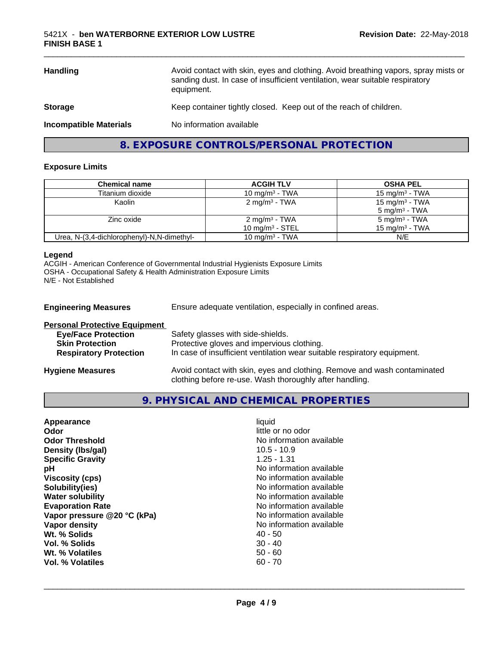| <b>Handling</b>               | Avoid contact with skin, eyes and clothing. Avoid breathing vapors, spray mists or<br>sanding dust. In case of insufficient ventilation, wear suitable respiratory<br>equipment. |
|-------------------------------|----------------------------------------------------------------------------------------------------------------------------------------------------------------------------------|
| <b>Storage</b>                | Keep container tightly closed. Keep out of the reach of children.                                                                                                                |
| <b>Incompatible Materials</b> | No information available                                                                                                                                                         |

**8. EXPOSURE CONTROLS/PERSONAL PROTECTION**

#### **Exposure Limits**

| Chemical name                              | <b>ACGIH TLV</b>                               | <b>OSHA PEL</b>                                        |
|--------------------------------------------|------------------------------------------------|--------------------------------------------------------|
| Titanium dioxide                           | 10 mg/m $3$ - TWA                              | 15 mg/m $3$ - TWA                                      |
| Kaolin                                     | $2 \text{ mg/m}^3$ - TWA                       | 15 mg/m <sup>3</sup> - TWA<br>$5 \text{ mg/m}^3$ - TWA |
| Zinc oxide                                 | 2 mg/m <sup>3</sup> - TWA<br>10 $mq/m3$ - STEL | 5 mg/m <sup>3</sup> - TWA<br>15 mg/m $3$ - TWA         |
| Urea, N-(3,4-dichlorophenyl)-N,N-dimethyl- | 10 mg/m $3$ - TWA                              | N/E                                                    |

#### **Legend**

ACGIH - American Conference of Governmental Industrial Hygienists Exposure Limits OSHA - Occupational Safety & Health Administration Exposure Limits N/E - Not Established

| <b>Engineering Measures</b>          | Ensure adequate ventilation, especially in confined areas.                             |
|--------------------------------------|----------------------------------------------------------------------------------------|
| <b>Personal Protective Equipment</b> |                                                                                        |
| <b>Eye/Face Protection</b>           | Safety glasses with side-shields.                                                      |
| <b>Skin Protection</b>               | Protective gloves and impervious clothing.                                             |
| <b>Respiratory Protection</b>        | In case of insufficient ventilation wear suitable respiratory equipment.               |
| lleedana Maaareeda                   | المفصولوموميوم وامون الموم وروموه والمواطنة الموم ومربو اوبارام والأرب لمولومه والمزور |

**Hygiene Measures** Avoid contact with skin, eyes and clothing. Remove and wash contaminated clothing before re-use. Wash thoroughly after handling.

**9. PHYSICAL AND CHEMICAL PROPERTIES**

| Appearance                  | liquid                   |
|-----------------------------|--------------------------|
| Odor                        | little or no odor        |
| <b>Odor Threshold</b>       | No information available |
| Density (Ibs/gal)           | $10.5 - 10.9$            |
| <b>Specific Gravity</b>     | $1.25 - 1.31$            |
| рH                          | No information available |
| <b>Viscosity (cps)</b>      | No information available |
| Solubility(ies)             | No information available |
| <b>Water solubility</b>     | No information available |
| <b>Evaporation Rate</b>     | No information available |
| Vapor pressure @20 °C (kPa) | No information available |
| Vapor density               | No information available |
| Wt. % Solids                | $40 - 50$                |
| Vol. % Solids               | $30 - 40$                |
| Wt. % Volatiles             | $50 - 60$                |
| Vol. % Volatiles            | $60 - 70$                |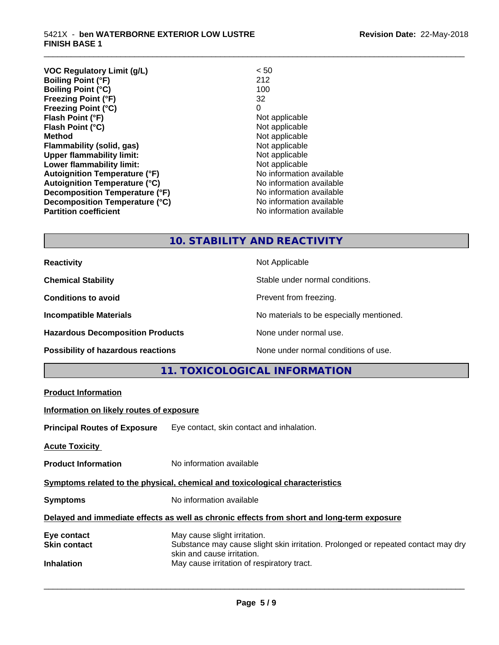#### 5421X - **ben WATERBORNE EXTERIOR LOW LUSTRE FINISH BASE 1**

| <b>VOC Regulatory Limit (g/L)</b>    | < 50                     |
|--------------------------------------|--------------------------|
| <b>Boiling Point (°F)</b>            | 212                      |
| <b>Boiling Point (°C)</b>            | 100                      |
| <b>Freezing Point (°F)</b>           | 32                       |
| <b>Freezing Point (°C)</b>           | 0                        |
| Flash Point (°F)                     | Not applicable           |
| Flash Point (°C)                     | Not applicable           |
| <b>Method</b>                        | Not applicable           |
| Flammability (solid, gas)            | Not applicable           |
| <b>Upper flammability limit:</b>     | Not applicable           |
| Lower flammability limit:            | Not applicable           |
| <b>Autoignition Temperature (°F)</b> | No information available |
| <b>Autoignition Temperature (°C)</b> | No information available |
| Decomposition Temperature (°F)       | No information available |
| Decomposition Temperature (°C)       | No information available |
| <b>Partition coefficient</b>         | No information available |
|                                      |                          |

## **10. STABILITY AND REACTIVITY**

\_\_\_\_\_\_\_\_\_\_\_\_\_\_\_\_\_\_\_\_\_\_\_\_\_\_\_\_\_\_\_\_\_\_\_\_\_\_\_\_\_\_\_\_\_\_\_\_\_\_\_\_\_\_\_\_\_\_\_\_\_\_\_\_\_\_\_\_\_\_\_\_\_\_\_\_\_\_\_\_\_\_\_\_\_\_\_\_\_\_\_\_\_

| <b>Reactivity</b>                       | Not Applicable                           |
|-----------------------------------------|------------------------------------------|
| <b>Chemical Stability</b>               | Stable under normal conditions.          |
| <b>Conditions to avoid</b>              | Prevent from freezing.                   |
| <b>Incompatible Materials</b>           | No materials to be especially mentioned. |
| <b>Hazardous Decomposition Products</b> | None under normal use.                   |
| Possibility of hazardous reactions      | None under normal conditions of use.     |

| Information on likely routes of exposure<br><b>Principal Routes of Exposure</b> Eye contact, skin contact and inhalation.<br>No information available<br>No information available<br>Delayed and immediate effects as well as chronic effects from short and long-term exposure<br>May cause slight irritation.<br>Substance may cause slight skin irritation. Prolonged or repeated contact may dry<br>skin and cause irritation.<br>May cause irritation of respiratory tract. |                                                                              | 11. TOXICOLOGICAL INFORMATION |  |
|----------------------------------------------------------------------------------------------------------------------------------------------------------------------------------------------------------------------------------------------------------------------------------------------------------------------------------------------------------------------------------------------------------------------------------------------------------------------------------|------------------------------------------------------------------------------|-------------------------------|--|
|                                                                                                                                                                                                                                                                                                                                                                                                                                                                                  | <b>Product Information</b>                                                   |                               |  |
|                                                                                                                                                                                                                                                                                                                                                                                                                                                                                  |                                                                              |                               |  |
|                                                                                                                                                                                                                                                                                                                                                                                                                                                                                  |                                                                              |                               |  |
|                                                                                                                                                                                                                                                                                                                                                                                                                                                                                  | <b>Acute Toxicity</b>                                                        |                               |  |
|                                                                                                                                                                                                                                                                                                                                                                                                                                                                                  | <b>Product Information</b>                                                   |                               |  |
|                                                                                                                                                                                                                                                                                                                                                                                                                                                                                  | Symptoms related to the physical, chemical and toxicological characteristics |                               |  |
|                                                                                                                                                                                                                                                                                                                                                                                                                                                                                  | <b>Symptoms</b>                                                              |                               |  |
|                                                                                                                                                                                                                                                                                                                                                                                                                                                                                  |                                                                              |                               |  |
|                                                                                                                                                                                                                                                                                                                                                                                                                                                                                  | Eye contact<br><b>Skin contact</b>                                           |                               |  |
|                                                                                                                                                                                                                                                                                                                                                                                                                                                                                  | <b>Inhalation</b>                                                            |                               |  |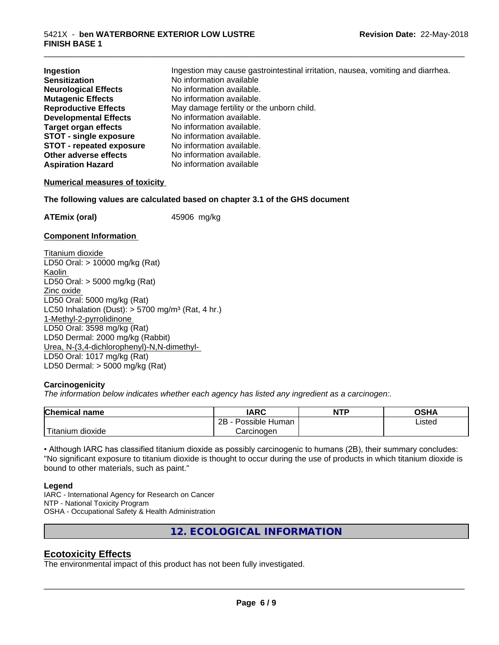| Ingestion                       | Ingestion may cause gastrointestinal irritation, nausea, vomiting and diarrhea. |
|---------------------------------|---------------------------------------------------------------------------------|
| <b>Sensitization</b>            | No information available                                                        |
| <b>Neurological Effects</b>     | No information available.                                                       |
| <b>Mutagenic Effects</b>        | No information available.                                                       |
| <b>Reproductive Effects</b>     | May damage fertility or the unborn child.                                       |
| <b>Developmental Effects</b>    | No information available.                                                       |
| <b>Target organ effects</b>     | No information available.                                                       |
| <b>STOT - single exposure</b>   | No information available.                                                       |
| <b>STOT - repeated exposure</b> | No information available.                                                       |
| Other adverse effects           | No information available.                                                       |
| <b>Aspiration Hazard</b>        | No information available                                                        |

\_\_\_\_\_\_\_\_\_\_\_\_\_\_\_\_\_\_\_\_\_\_\_\_\_\_\_\_\_\_\_\_\_\_\_\_\_\_\_\_\_\_\_\_\_\_\_\_\_\_\_\_\_\_\_\_\_\_\_\_\_\_\_\_\_\_\_\_\_\_\_\_\_\_\_\_\_\_\_\_\_\_\_\_\_\_\_\_\_\_\_\_\_

#### **Numerical measures of toxicity**

**The following values are calculated based on chapter 3.1 of the GHS document**

**ATEmix (oral)** 45906 mg/kg

#### **Component Information**

Titanium dioxide LD50 Oral: > 10000 mg/kg (Rat) Kaolin LD50 Oral: > 5000 mg/kg (Rat) Zinc oxide LD50 Oral: 5000 mg/kg (Rat) LC50 Inhalation (Dust):  $> 5700$  mg/m<sup>3</sup> (Rat, 4 hr.) 1-Methyl-2-pyrrolidinone LD50 Oral: 3598 mg/kg (Rat) LD50 Dermal: 2000 mg/kg (Rabbit) Urea, N-(3,4-dichlorophenyl)-N,N-dimethyl- LD50 Oral: 1017 mg/kg (Rat) LD50 Dermal: > 5000 mg/kg (Rat)

#### **Carcinogenicity**

*The information below indicateswhether each agency has listed any ingredient as a carcinogen:.*

| <b>Chemical</b><br>name       | <b>IARC</b>                      | <b>NTP</b> | ດເ⊔∧<br>U∂⊓⊬   |
|-------------------------------|----------------------------------|------------|----------------|
|                               | . .<br>2B<br>: Human<br>Possible |            | Listed<br>____ |
| <br>dioxide<br><b>itanium</b> | Carcinogen                       |            |                |

• Although IARC has classified titanium dioxide as possibly carcinogenic to humans (2B), their summary concludes: "No significant exposure to titanium dioxide is thought to occur during the use of products in which titanium dioxide is bound to other materials, such as paint."

#### **Legend**

IARC - International Agency for Research on Cancer NTP - National Toxicity Program OSHA - Occupational Safety & Health Administration

**12. ECOLOGICAL INFORMATION**

#### **Ecotoxicity Effects**

The environmental impact of this product has not been fully investigated.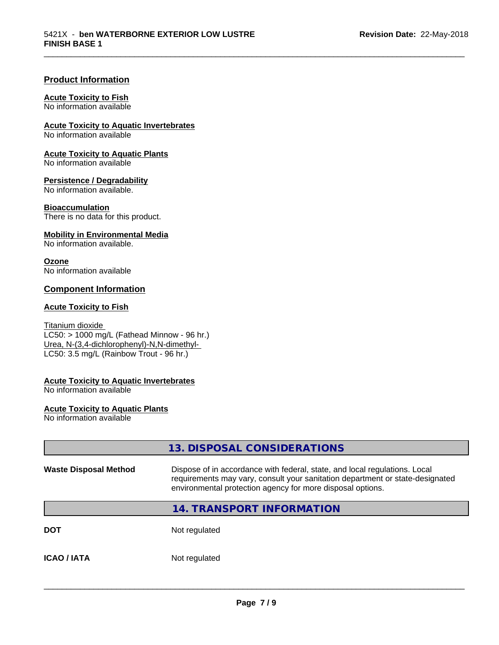\_\_\_\_\_\_\_\_\_\_\_\_\_\_\_\_\_\_\_\_\_\_\_\_\_\_\_\_\_\_\_\_\_\_\_\_\_\_\_\_\_\_\_\_\_\_\_\_\_\_\_\_\_\_\_\_\_\_\_\_\_\_\_\_\_\_\_\_\_\_\_\_\_\_\_\_\_\_\_\_\_\_\_\_\_\_\_\_\_\_\_\_\_

#### **Product Information**

#### **Acute Toxicity to Fish**

No information available

**Acute Toxicity to Aquatic Invertebrates**

No information available

**Acute Toxicity to Aquatic Plants** No information available

**Persistence / Degradability**

No information available.

**Bioaccumulation** There is no data for this product.

**Mobility in Environmental Media**

No information available.

#### **Ozone**

No information available

#### **Component Information**

#### **Acute Toxicity to Fish**

Titanium dioxide  $\overline{\text{LC50:}}$  > 1000 mg/L (Fathead Minnow - 96 hr.) Urea, N-(3,4-dichlorophenyl)-N,N-dimethyl- LC50: 3.5 mg/L (Rainbow Trout - 96 hr.)

#### **Acute Toxicity to Aquatic Invertebrates**

No information available

#### **Acute Toxicity to Aquatic Plants**

No information available

|                              | 13. DISPOSAL CONSIDERATIONS                                                                                                                                                                                               |
|------------------------------|---------------------------------------------------------------------------------------------------------------------------------------------------------------------------------------------------------------------------|
| <b>Waste Disposal Method</b> | Dispose of in accordance with federal, state, and local regulations. Local<br>requirements may vary, consult your sanitation department or state-designated<br>environmental protection agency for more disposal options. |
|                              | 14. TRANSPORT INFORMATION                                                                                                                                                                                                 |
| <b>DOT</b>                   | Not regulated                                                                                                                                                                                                             |
| <b>ICAO / IATA</b>           | Not regulated                                                                                                                                                                                                             |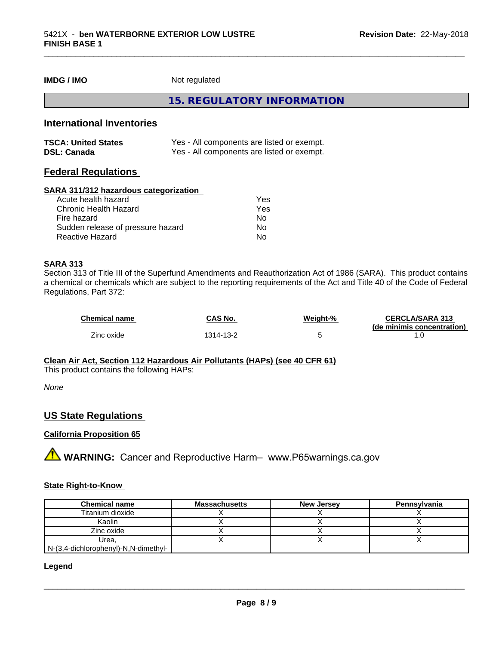# **IMDG / IMO** Not regulated **15. REGULATORY INFORMATION**

#### **International Inventories**

| <b>TSCA: United States</b> | Yes - All components are listed or exempt. |
|----------------------------|--------------------------------------------|
| <b>DSL: Canada</b>         | Yes - All components are listed or exempt. |

#### **Federal Regulations**

#### **SARA 311/312 hazardous categorization**

| Acute health hazard               | Yes |  |
|-----------------------------------|-----|--|
| Chronic Health Hazard             | Yes |  |
| Fire hazard                       | Nο  |  |
| Sudden release of pressure hazard | N٥  |  |
| Reactive Hazard                   | Nο  |  |

#### **SARA 313**

Section 313 of Title III of the Superfund Amendments and Reauthorization Act of 1986 (SARA). This product contains a chemical or chemicals which are subject to the reporting requirements of the Act and Title 40 of the Code of Federal Regulations, Part 372:

| <b>Chemical name</b> | <b>CAS No.</b> | <b>Weight-%</b> | <b>CERCLA/SARA 313</b><br>(de minimis concentration) |
|----------------------|----------------|-----------------|------------------------------------------------------|
| Zinc oxide           | 1314-13-2      |                 |                                                      |

\_\_\_\_\_\_\_\_\_\_\_\_\_\_\_\_\_\_\_\_\_\_\_\_\_\_\_\_\_\_\_\_\_\_\_\_\_\_\_\_\_\_\_\_\_\_\_\_\_\_\_\_\_\_\_\_\_\_\_\_\_\_\_\_\_\_\_\_\_\_\_\_\_\_\_\_\_\_\_\_\_\_\_\_\_\_\_\_\_\_\_\_\_

#### **Clean Air Act,Section 112 Hazardous Air Pollutants (HAPs) (see 40 CFR 61)**

This product contains the following HAPs:

*None*

#### **US State Regulations**

#### **California Proposition 65**

**AVIMARNING:** Cancer and Reproductive Harm– www.P65warnings.ca.gov

#### **State Right-to-Know**

| <b>Chemical name</b>                 | <b>Massachusetts</b> | <b>New Jersey</b> | Pennsylvania |
|--------------------------------------|----------------------|-------------------|--------------|
| Titanium dioxide                     |                      |                   |              |
| Kaolin                               |                      |                   |              |
| Zinc oxide                           |                      |                   |              |
| Urea.                                |                      |                   |              |
| N-(3,4-dichlorophenyl)-N,N-dimethyl- |                      |                   |              |

#### **Legend**